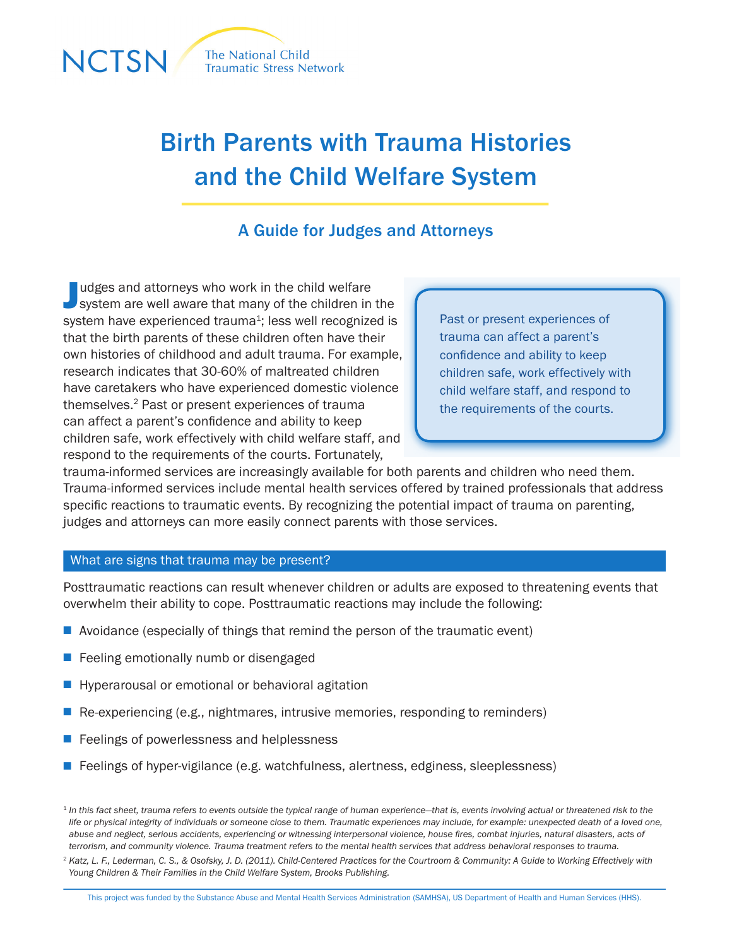

# Birth Parents with Trauma Histories and the Child Welfare System

## A Guide for Judges and Attorneys

Judges and attorneys who work in the child welfare<br>System are well aware that many of the children in the udges and attorneys who work in the child welfare system have experienced trauma<sup>1</sup>; less well recognized is that the birth parents of these children often have their own histories of childhood and adult trauma. For example, research indicates that 30-60% of maltreated children have caretakers who have experienced domestic violence themselves.2 Past or present experiences of trauma can affect a parent's confidence and ability to keep children safe, work effectively with child welfare staff, and respond to the requirements of the courts. Fortunately,

Past or present experiences of trauma can affect a parent's confidence and ability to keep children safe, work effectively with child welfare staff, and respond to the requirements of the courts.

trauma-informed services are increasingly available for both parents and children who need them. Trauma-informed services include mental health services offered by trained professionals that address specific reactions to traumatic events. By recognizing the potential impact of trauma on parenting, judges and attorneys can more easily connect parents with those services.

#### What are signs that trauma may be present?

Posttraumatic reactions can result whenever children or adults are exposed to threatening events that overwhelm their ability to cope. Posttraumatic reactions may include the following:

- $\blacksquare$  Avoidance (especially of things that remind the person of the traumatic event)
- $\blacksquare$  Feeling emotionally numb or disengaged
- $\blacksquare$  Hyperarousal or emotional or behavioral agitation
- $\blacksquare$  Re-experiencing (e.g., nightmares, intrusive memories, responding to reminders)
- $\blacksquare$  Feelings of powerlessness and helplessness
- $\blacksquare$  Feelings of hyper-vigilance (e.g. watchfulness, alertness, edginess, sleeplessness)

<sup>&</sup>lt;sup>1</sup> In this fact sheet, trauma refers to events outside the typical range of human experience—that is, events involving actual or threatened risk to the *life or physical integrity of individuals or someone close to them. Traumatic experiences may include, for example: unexpected death of a loved one, abuse and neglect, serious accidents, experiencing or witnessing interpersonal violence, house fires, combat injuries, natural disasters, acts of terrorism, and community violence. Trauma treatment refers to the mental health services that address behavioral responses to trauma.*

<sup>&</sup>lt;sup>2</sup> Katz, L. F., Lederman, C. S., & Osofsky, J. D. (2011). Child-Centered Practices for the Courtroom & Community: A Guide to Working Effectively with *Young Children & Their Families in the Child Welfare System, Brooks Publishing.*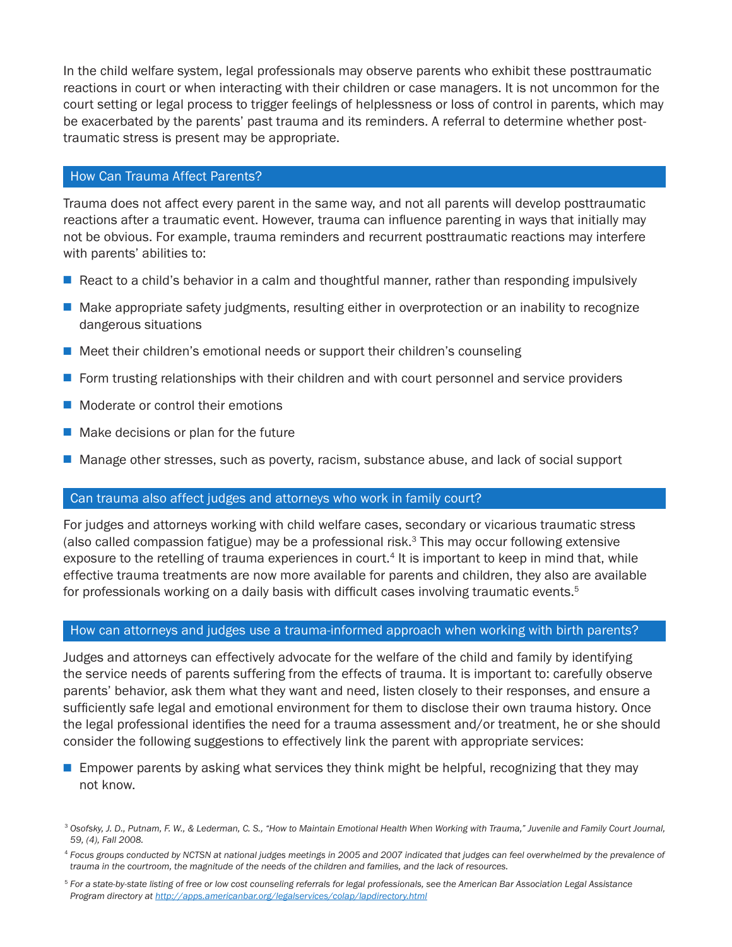In the child welfare system, legal professionals may observe parents who exhibit these posttraumatic reactions in court or when interacting with their children or case managers. It is not uncommon for the court setting or legal process to trigger feelings of helplessness or loss of control in parents, which may be exacerbated by the parents' past trauma and its reminders. A referral to determine whether posttraumatic stress is present may be appropriate.

#### How Can Trauma Affect Parents?

Trauma does not affect every parent in the same way, and not all parents will develop posttraumatic reactions after a traumatic event. However, trauma can influence parenting in ways that initially may not be obvious. For example, trauma reminders and recurrent posttraumatic reactions may interfere with parents' abilities to:

- React to a child's behavior in a calm and thoughtful manner, rather than responding impulsively
- $\blacksquare$  Make appropriate safety judgments, resulting either in overprotection or an inability to recognize dangerous situations
- $\blacksquare$  Meet their children's emotional needs or support their children's counseling
- $\blacksquare$  Form trusting relationships with their children and with court personnel and service providers
- $\blacksquare$  Moderate or control their emotions
- $\blacksquare$  Make decisions or plan for the future
- Manage other stresses, such as poverty, racism, substance abuse, and lack of social support

### Can trauma also affect judges and attorneys who work in family court?

For judges and attorneys working with child welfare cases, secondary or vicarious traumatic stress (also called compassion fatigue) may be a professional risk. $3$  This may occur following extensive exposure to the retelling of trauma experiences in court.<sup>4</sup> It is important to keep in mind that, while effective trauma treatments are now more available for parents and children, they also are available for professionals working on a daily basis with difficult cases involving traumatic events. $5$ 

#### How can attorneys and judges use a trauma-informed approach when working with birth parents?

Judges and attorneys can effectively advocate for the welfare of the child and family by identifying the service needs of parents suffering from the effects of trauma. It is important to: carefully observe parents' behavior, ask them what they want and need, listen closely to their responses, and ensure a sufficiently safe legal and emotional environment for them to disclose their own trauma history. Once the legal professional identifies the need for a trauma assessment and/or treatment, he or she should consider the following suggestions to effectively link the parent with appropriate services:

 $\blacksquare$  Empower parents by asking what services they think might be helpful, recognizing that they may not know.

<sup>3</sup> *Osofsky, J. D., Putnam, F. W., & Lederman, C. S., "How to Maintain Emotional Health When Working with Trauma," Juvenile and Family Court Journal, 59, (4), Fall 2008.*

<sup>4</sup> *Focus groups conducted by NCTSN at national judges meetings in 2005 and 2007 indicated that judges can feel overwhelmed by the prevalence of trauma in the courtroom, the magnitude of the needs of the children and families, and the lack of resources.*

<sup>5</sup> *For a state-by-state listing of free or low cost counseling referrals for legal professionals, see the American Bar Association Legal Assistance Program directory at <http://apps.americanbar.org/legalservices/colap/lapdirectory.html>*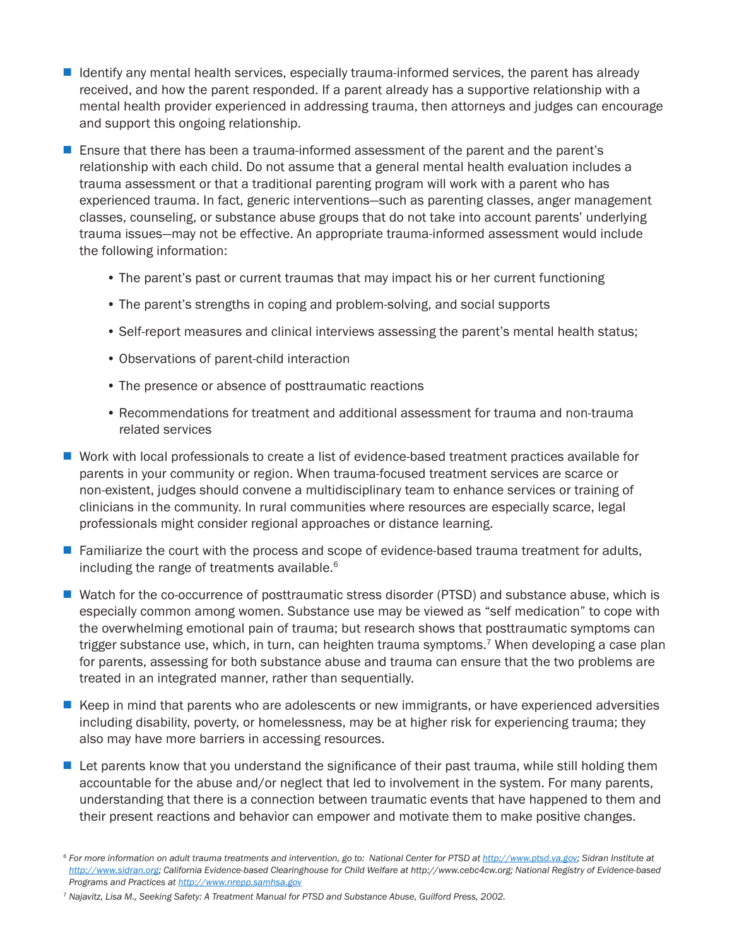- $\blacksquare$  Identify any mental health services, especially trauma-informed services, the parent has already received, and how the parent responded. If a parent already has a supportive relationship with a mental health provider experienced in addressing trauma, then attorneys and judges can encourage and support this ongoing relationship.
- **E** Ensure that there has been a trauma-informed assessment of the parent and the parent's relationship with each child. Do not assume that a general mental health evaluation includes a trauma assessment or that a traditional parenting program will work with a parent who has experienced trauma. In fact, generic interventions—such as parenting classes, anger management classes, counseling, or substance abuse groups that do not take into account parents' underlying trauma issues—may not be effective. An appropriate trauma-informed assessment would include the following information:
	- The parent's past or current traumas that may impact his or her current functioning
	- The parent's strengths in coping and problem-solving, and social supports
	- Self-report measures and clinical interviews assessing the parent's mental health status;
	- Observations of parent-child interaction
	- The presence or absence of posttraumatic reactions
	- Recommendations for treatment and additional assessment for trauma and non-trauma related services
- Work with local professionals to create a list of evidence-based treatment practices available for parents in your community or region. When trauma-focused treatment services are scarce or non-existent, judges should convene a multidisciplinary team to enhance services or training of clinicians in the community. In rural communities where resources are especially scarce, legal professionals might consider regional approaches or distance learning.
- $\blacksquare$  Familiarize the court with the process and scope of evidence-based trauma treatment for adults, including the range of treatments available.<sup>6</sup>
- Watch for the co-occurrence of posttraumatic stress disorder (PTSD) and substance abuse, which is especially common among women. Substance use may be viewed as "self medication" to cope with the overwhelming emotional pain of trauma; but research shows that posttraumatic symptoms can trigger substance use, which, in turn, can heighten trauma symptoms.<sup>7</sup> When developing a case plan for parents, assessing for both substance abuse and trauma can ensure that the two problems are treated in an integrated manner, rather than sequentially.
- E Keep in mind that parents who are adolescents or new immigrants, or have experienced adversities including disability, poverty, or homelessness, may be at higher risk for experiencing trauma; they also may have more barriers in accessing resources.
- $\blacksquare$  Let parents know that you understand the significance of their past trauma, while still holding them accountable for the abuse and/or neglect that led to involvement in the system. For many parents, understanding that there is a connection between traumatic events that have happened to them and their present reactions and behavior can empower and motivate them to make positive changes.

<sup>7</sup> *Najavitz, Lisa M., Seeking Safety: A Treatment Manual for PTSD and Substance Abuse, Guilford Press, 2002.*

<sup>&</sup>lt;sup>6</sup> For more information on adult trauma treatments and intervention, go to: National Center for PTSD at <http://www.ptsd.va.gov>; Sidran Institute at *[http://www.sidran.org;](http://www.sidran.org) California Evidence-based Clearinghouse for Child Welfare at http://www.cebc4cw.org; National Registry of Evidence-based Programs and Practices at<http://www.nrepp.samhsa.gov>*